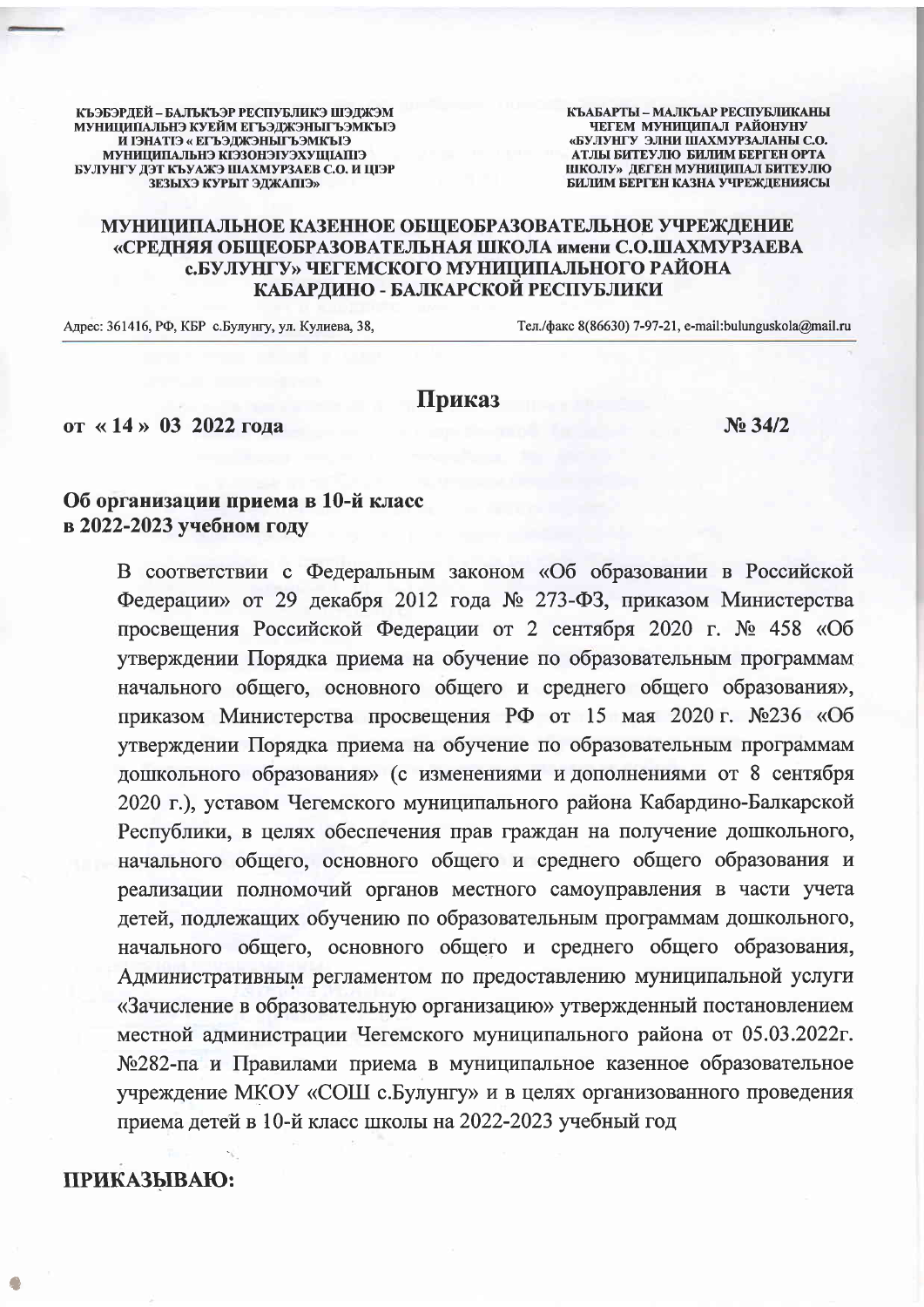КЪЭБЭРДЕЙ - БАЛЬКЪЭР РЕСПУБЛИКЭ ШЭДЖЭМ МУНИЦИПАЛЬНЭ КУЕЙМ ЕГЪЭДЖЭНЫГЪЭМКЫЭ И ГЭНАТГЭ « ЕГЪЭДЖЭНЫТ ЪЭМКЪГЭ МУНИЦИПАЛЬНЭ КІЭЗОНЭГУЭХУШІАПГЭ БУЛУНГУ ДЭТ КЪУАЖЭ ШАХМУРЗАЕВ С.О. И ЦІЭР **ЗЕЗЫХЭ КУРЫТ ЭЛЖАПІЭ»** 

КЪАБАРТЫ - МАЛКЪАР РЕСПУБЛИКАНЫ ЧЕГЕМ МУНИЦИПАЛ РАЙОНУНУ «БУЛУНГУ ЭЛНИ ШАХМУРЗАЛАНЫ С.О. **АТЛЫ БИТЕУЛЮ БИЛИМ БЕРГЕН ОРТА** ШКОЛУ» ДЕГЕН МУНИЦИПАЛ БИТЕУЛЮ БИЛИМ БЕРГЕН КАЗНА УЧРЕЖДЕНИЯСЫ

## МУНИЦИПАЛЬНОЕ КАЗЕННОЕ ОБЩЕОБРАЗОВАТЕЛЬНОЕ УЧРЕЖДЕНИЕ «СРЕДНЯЯ ОБЩЕОБРАЗОВАТЕЛЬНАЯ ШКОЛА имени С.О.ШАХМУРЗАЕВА с.БУЛУНГУ» ЧЕГЕМСКОГО МУНИЦИПАЛЬНОГО РАЙОНА КАБАРДИНО - БАЛКАРСКОЙ РЕСПУБЛИКИ

Адрес: 361416, РФ, КБР с. Булунгу, ул. Кулиева, 38,

Тел./факс 8(86630) 7-97-21, e-mail:bulunguskola@mail.ru

## Приказ

от «14» 03 2022 года

No 34/2

## Об организации приема в 10-й класс в 2022-2023 учебном году

В соответствии с Федеральным законом «Об образовании в Российской Федерации» от 29 декабря 2012 года № 273-ФЗ, приказом Министерства просвещения Российской Федерации от 2 сентября 2020 г. № 458 «Об утверждении Порядка приема на обучение по образовательным программам начального общего, основного общего и среднего общего образования», приказом Министерства просвещения РФ от 15 мая 2020 г. №236 «Об утверждении Порядка приема на обучение по образовательным программам дошкольного образования» (с изменениями и дополнениями от 8 сентября 2020 г.), уставом Чегемского муниципального района Кабардино-Балкарской Республики, в целях обеспечения прав граждан на получение дошкольного, начального общего, основного общего и среднего общего образования и реализации полномочий органов местного самоуправления в части учета детей, подлежащих обучению по образовательным программам дошкольного, начального общего, основного общего и среднего общего образования, Административным регламентом по предоставлению муниципальной услуги «Зачисление в образовательную организацию» утвержденный постановлением местной администрации Чегемского муниципального района от 05.03.2022г. №282-па и Правилами приема в муниципальное казенное образовательное учреждение МКОУ «СОШ с. Булунгу» и в целях организованного проведения приема детей в 10-й класс школы на 2022-2023 учебный год

## ПРИКАЗЫВАЮ: